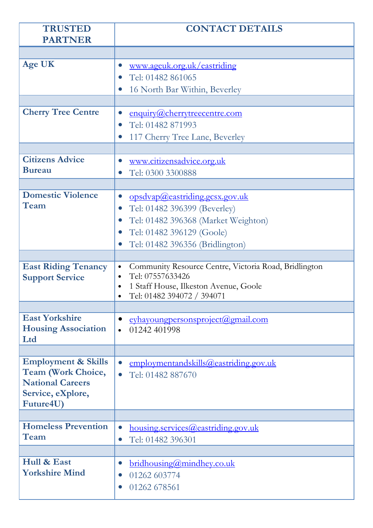| <b>TRUSTED</b><br><b>PARTNER</b>  | <b>CONTACT DETAILS</b>                                                                              |
|-----------------------------------|-----------------------------------------------------------------------------------------------------|
|                                   |                                                                                                     |
| <b>Age UK</b>                     |                                                                                                     |
|                                   | www.ageuk.org.uk/eastriding<br>$\bullet$<br>Tel: 01482 861065<br>$\bullet$                          |
|                                   |                                                                                                     |
|                                   | 16 North Bar Within, Beverley<br>$\bullet$                                                          |
| <b>Cherry Tree Centre</b>         | enquiry@cherrytreecentre.com<br>$\bullet$                                                           |
|                                   | Tel: 01482 871993<br>$\bullet$                                                                      |
|                                   | 117 Cherry Tree Lane, Beverley<br>$\bullet$                                                         |
|                                   |                                                                                                     |
| <b>Citizens Advice</b>            | www.citizensadvice.org.uk<br>$\bullet$                                                              |
| <b>Bureau</b>                     | Tel: 0300 3300888                                                                                   |
|                                   |                                                                                                     |
| <b>Domestic Violence</b>          | opsdvap@eastriding.gcsx.gov.uk<br>$\bullet$                                                         |
| Team                              | Tel: 01482 396399 (Beverley)<br>$\bullet$                                                           |
|                                   | Tel: 01482 396368 (Market Weighton)<br>$\bullet$                                                    |
|                                   | Tel: 01482 396129 (Goole)<br>$\bullet$                                                              |
|                                   | Tel: 01482 396356 (Bridlington)                                                                     |
|                                   |                                                                                                     |
| <b>East Riding Tenancy</b>        | Community Resource Centre, Victoria Road, Bridlington<br>$\bullet$<br>Tel: 07557633426<br>$\bullet$ |
| <b>Support Service</b>            | 1 Staff House, Ilkeston Avenue, Goole<br>$\bullet$                                                  |
|                                   | Tel: 01482 394072 / 394071                                                                          |
|                                   |                                                                                                     |
| <b>East Yorkshire</b>             | eyhayoungpersonsproject@gmail.com<br>$\bullet$                                                      |
| <b>Housing Association</b><br>Ltd | 01242 401998<br>$\bullet$                                                                           |
|                                   |                                                                                                     |
| <b>Employment &amp; Skills</b>    | employmentandskills@eastriding.gov.uk<br>$\bullet$                                                  |
| <b>Team (Work Choice,</b>         | Tel: 01482 887670<br>$\bullet$                                                                      |
| <b>National Careers</b>           |                                                                                                     |
| Service, eXplore,                 |                                                                                                     |
| Future4U)                         |                                                                                                     |
| <b>Homeless Prevention</b>        | <u>housing.services@eastriding.gov.uk</u><br>$\bullet$                                              |
| Team                              | Tel: 01482 396301<br>$\bullet$                                                                      |
|                                   |                                                                                                     |
| Hull & East                       | <u>bridhousing@mindhey.co.uk</u><br>$\bullet$                                                       |
| <b>Yorkshire Mind</b>             | 01262 603774<br>$\bullet$                                                                           |
|                                   | 01262 678561<br>$\bullet$                                                                           |
|                                   |                                                                                                     |